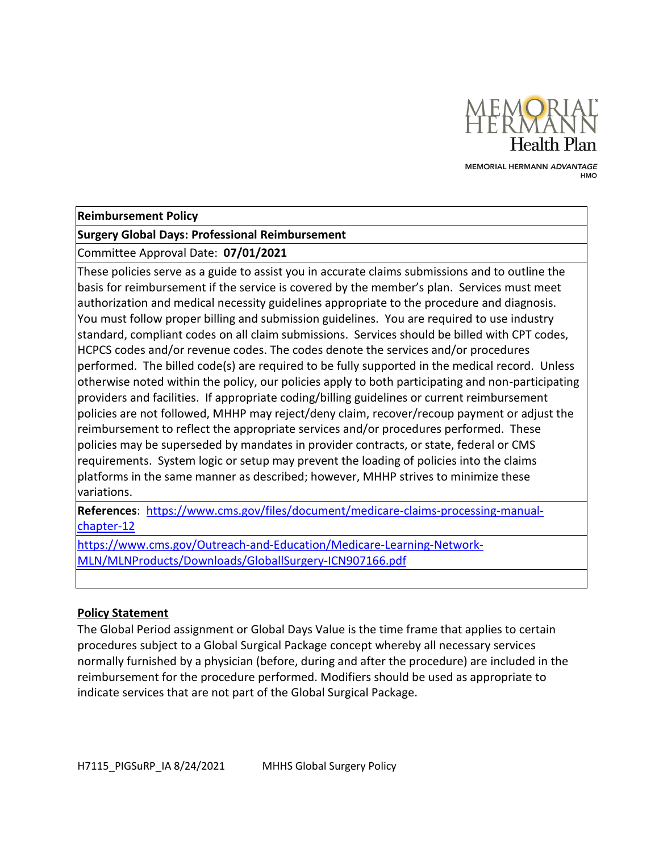

MEMORIAL HERMANN ADVANTAGE **HMO** 

#### **Reimbursement Policy**

#### **Surgery Global Days: Professional Reimbursement**

Committee Approval Date: **07/01/2021**

These policies serve as a guide to assist you in accurate claims submissions and to outline the basis for reimbursement if the service is covered by the member's plan. Services must meet authorization and medical necessity guidelines appropriate to the procedure and diagnosis. You must follow proper billing and submission guidelines. You are required to use industry standard, compliant codes on all claim submissions. Services should be billed with CPT codes, HCPCS codes and/or revenue codes. The codes denote the services and/or procedures performed. The billed code(s) are required to be fully supported in the medical record. Unless otherwise noted within the policy, our policies apply to both participating and non-participating providers and facilities. If appropriate coding/billing guidelines or current reimbursement policies are not followed, MHHP may reject/deny claim, recover/recoup payment or adjust the reimbursement to reflect the appropriate services and/or procedures performed. These policies may be superseded by mandates in provider contracts, or state, federal or CMS requirements. System logic or setup may prevent the loading of policies into the claims platforms in the same manner as described; however, MHHP strives to minimize these variations.

**References**: [https://www.cms.gov/files/document/medicare-claims-processing-manual](https://www.cms.gov/files/document/medicare-claims-processing-manual-chapter-12)[chapter-12](https://www.cms.gov/files/document/medicare-claims-processing-manual-chapter-12)

[https://www.cms.gov/Outreach-and-Education/Medicare-Learning-Network-](https://www.cms.gov/Outreach-and-Education/Medicare-Learning-Network-MLN/MLNProducts/Downloads/GloballSurgery-ICN907166.pdf)[MLN/MLNProducts/Downloads/GloballSurgery-ICN907166.pdf](https://www.cms.gov/Outreach-and-Education/Medicare-Learning-Network-MLN/MLNProducts/Downloads/GloballSurgery-ICN907166.pdf)

#### **Policy Statement**

The Global Period assignment or Global Days Value is the time frame that applies to certain procedures subject to a Global Surgical Package concept whereby all necessary services normally furnished by a physician (before, during and after the procedure) are included in the reimbursement for the procedure performed. Modifiers should be used as appropriate to indicate services that are not part of the Global Surgical Package.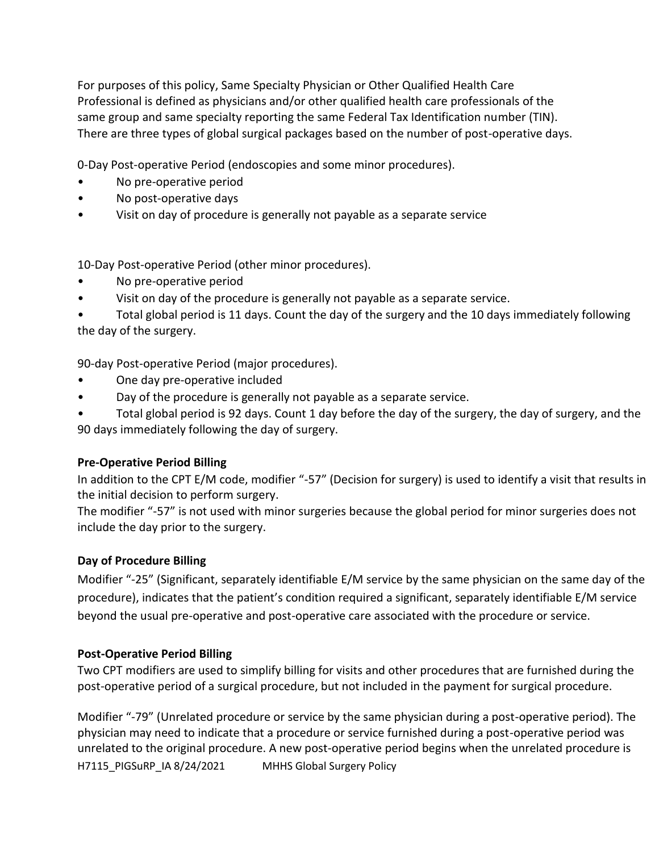For purposes of this policy, Same Specialty Physician or Other Qualified Health Care Professional is defined as physicians and/or other qualified health care professionals of the same group and same specialty reporting the same Federal Tax Identification number (TIN). There are three types of global surgical packages based on the number of post-operative days.

0-Day Post-operative Period (endoscopies and some minor procedures).

- No pre-operative period
- No post-operative days
- Visit on day of procedure is generally not payable as a separate service

10-Day Post-operative Period (other minor procedures).

- No pre-operative period
- Visit on day of the procedure is generally not payable as a separate service.

• Total global period is 11 days. Count the day of the surgery and the 10 days immediately following the day of the surgery.

90-day Post-operative Period (major procedures).

- One day pre-operative included
- Day of the procedure is generally not payable as a separate service.

• Total global period is 92 days. Count 1 day before the day of the surgery, the day of surgery, and the 90 days immediately following the day of surgery.

# **Pre-Operative Period Billing**

In addition to the CPT E/M code, modifier "-57" (Decision for surgery) is used to identify a visit that results in the initial decision to perform surgery.

The modifier "-57" is not used with minor surgeries because the global period for minor surgeries does not include the day prior to the surgery.

# **Day of Procedure Billing**

Modifier "-25" (Significant, separately identifiable E/M service by the same physician on the same day of the procedure), indicates that the patient's condition required a significant, separately identifiable E/M service beyond the usual pre-operative and post-operative care associated with the procedure or service.

# **Post-Operative Period Billing**

Two CPT modifiers are used to simplify billing for visits and other procedures that are furnished during the post-operative period of a surgical procedure, but not included in the payment for surgical procedure.

H7115\_PIGSuRP\_IA 8/24/2021 MHHS Global Surgery Policy Modifier "-79" (Unrelated procedure or service by the same physician during a post-operative period). The physician may need to indicate that a procedure or service furnished during a post-operative period was unrelated to the original procedure. A new post-operative period begins when the unrelated procedure is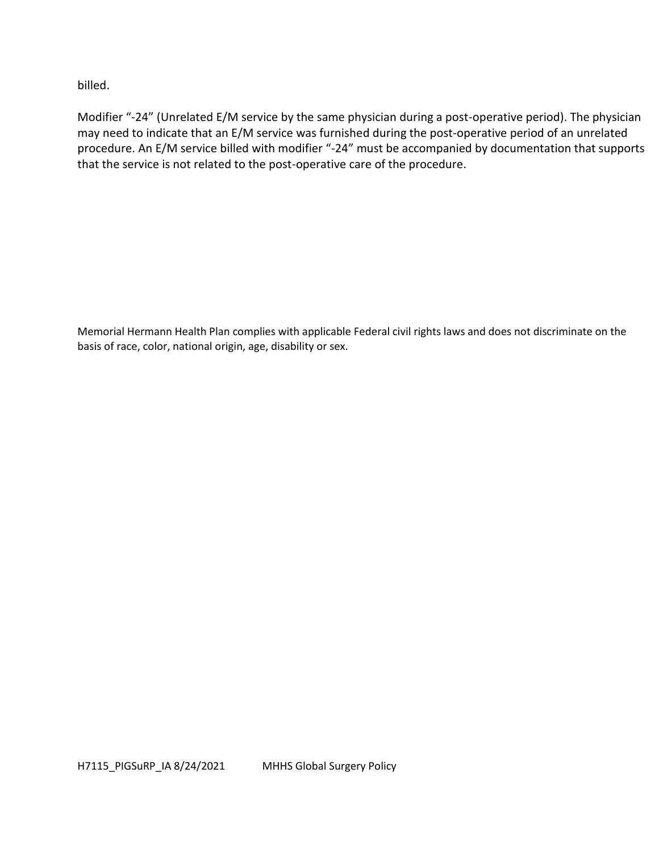billed.

Modifier "-24" (Unrelated E/M service by the same physician during a post-operative period). The physician may need to indicate that an E/M service was furnished during the post-operative period of an unrelated procedure. An E/M service billed with modifier "-24" must be accompanied by documentation that supports that the service is not related to the post-operative care of the procedure.

Memorial Hermann Health Plan complies with applicable Federal civil rights laws and does not discriminate on the basis of race, color, national origin, age, disability or sex.